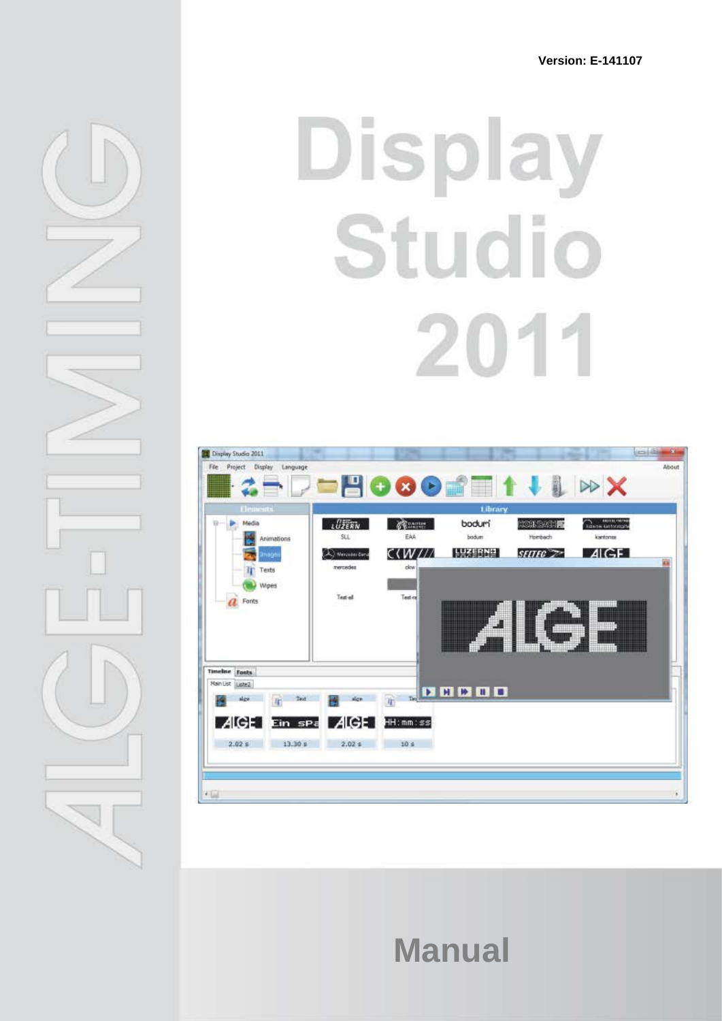

## **Manual**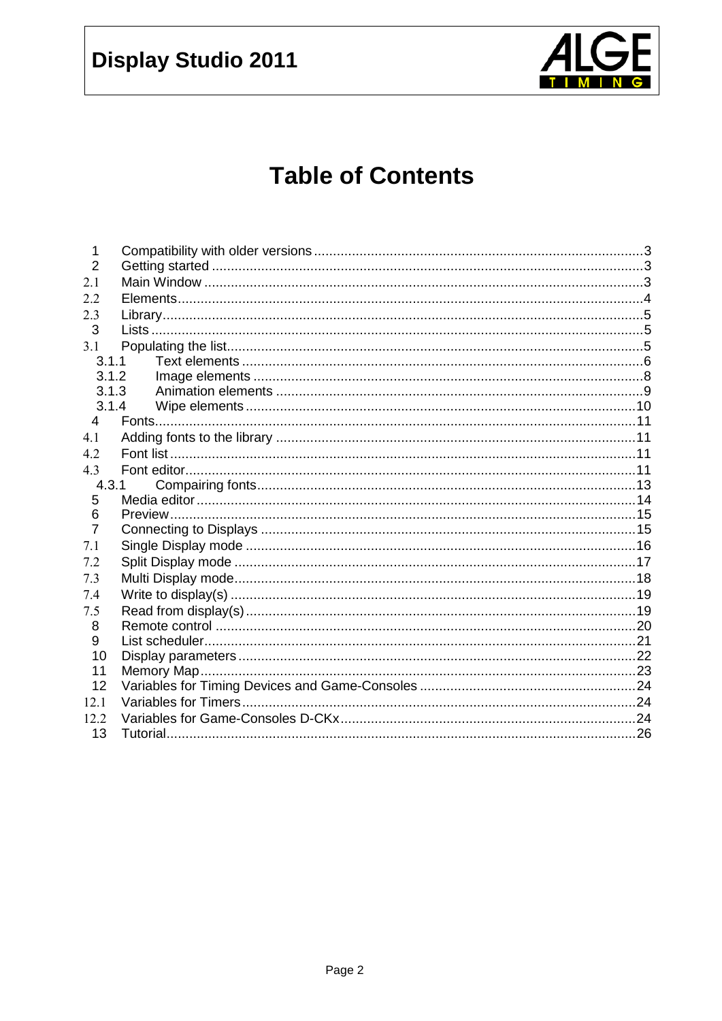

## **Table of Contents**

| 1              |  |
|----------------|--|
| $\overline{2}$ |  |
| 2.1            |  |
| 2.2            |  |
| 2.3            |  |
| 3              |  |
| 3.1            |  |
| 3.1.1          |  |
| 3.1.2          |  |
| 3.1.3          |  |
| 3.1.4          |  |
| 4              |  |
| 4.1            |  |
| 4.2            |  |
| 4.3            |  |
| 4.3.1          |  |
| 5              |  |
| 6              |  |
| $\overline{7}$ |  |
| 7.1            |  |
| 7.2            |  |
| 7.3            |  |
| 7.4            |  |
| 7.5            |  |
| 8              |  |
| 9              |  |
| 10             |  |
| 11             |  |
| 12             |  |
| 12.1           |  |
| 12.2           |  |
| 13             |  |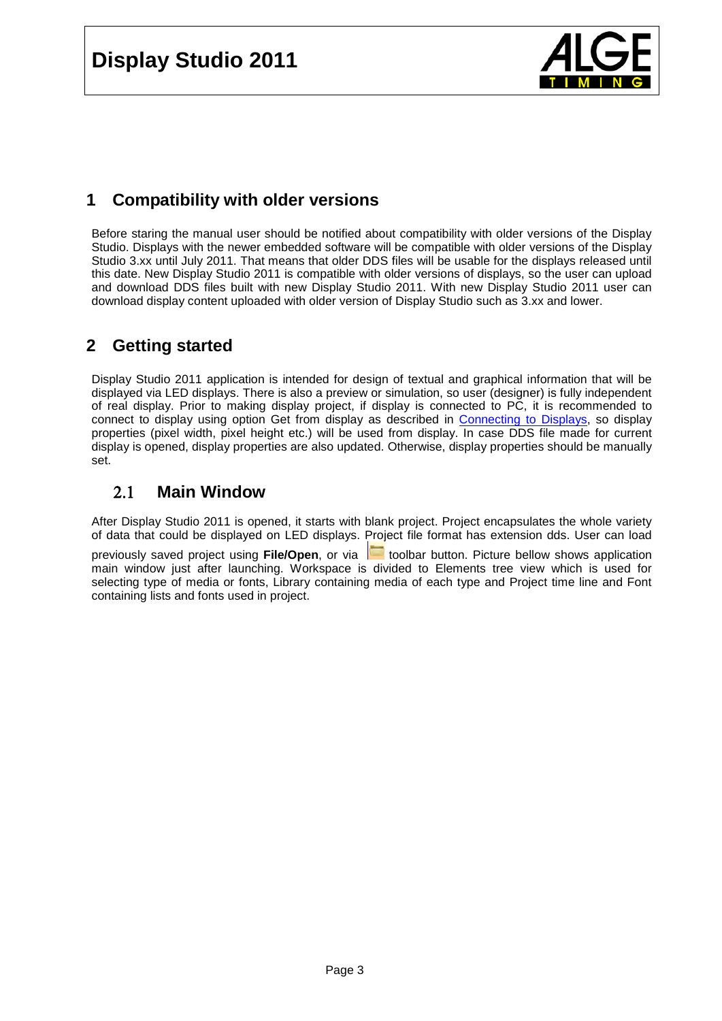

#### **1 Compatibility with older versions**

Before staring the manual user should be notified about compatibility with older versions of the Display Studio. Displays with the newer embedded software will be compatible with older versions of the Display Studio 3.xx until July 2011. That means that older DDS files will be usable for the displays released until this date. New Display Studio 2011 is compatible with older versions of displays, so the user can upload and download DDS files built with new Display Studio 2011. With new Display Studio 2011 user can download display content uploaded with older version of Display Studio such as 3.xx and lower.

#### **2 Getting started**

Display Studio 2011 application is intended for design of textual and graphical information that will be displayed via LED displays. There is also a preview or simulation, so user (designer) is fully independent of real display. Prior to making display project, if display is connected to PC, it is recommended to connect to display using option Get from display as described in [Connecting to Displays,](#page-14-0) so display properties (pixel width, pixel height etc.) will be used from display. In case DDS file made for current display is opened, display properties are also updated. Otherwise, display properties should be manually set.

#### 2.1 **Main Window**

After Display Studio 2011 is opened, it starts with blank project. Project encapsulates the whole variety of data that could be displayed on LED displays. Project file format has extension dds. User can load

previously saved project using **File/Open**, or via **the leads** button. Picture bellow shows application main window just after launching. Workspace is divided to Elements tree view which is used for selecting type of media or fonts, Library containing media of each type and Project time line and Font containing lists and fonts used in project.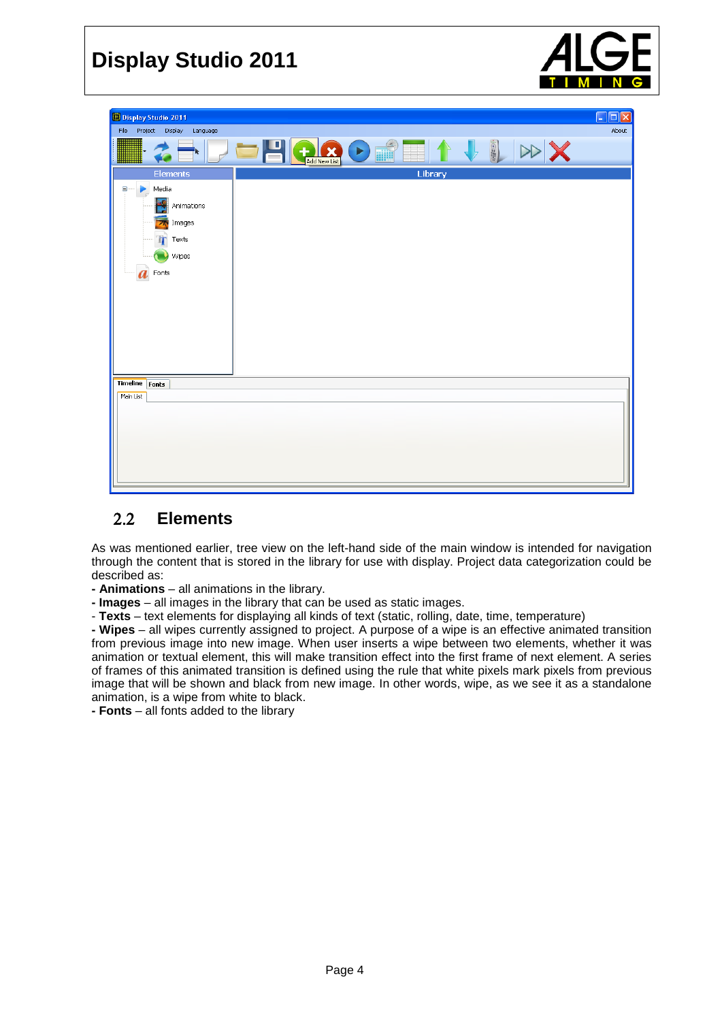

| Display Studio 2011<br>File<br>Project Display<br>Language |                                                                       |            |          | Iok<br>ш<br>About |
|------------------------------------------------------------|-----------------------------------------------------------------------|------------|----------|-------------------|
| mm                                                         | $\overline{\mathbf{B}}$<br>$\leftarrow \frac{1}{\text{Add New List}}$ | $\bigodot$ | 1 J D DX |                   |
| <b>Elements</b>                                            |                                                                       | Library    |          |                   |
| Media<br>$\blacktriangleright$                             |                                                                       |            |          |                   |
| Animations                                                 |                                                                       |            |          |                   |
| Images                                                     |                                                                       |            |          |                   |
| Texts<br>л                                                 |                                                                       |            |          |                   |
| Wipes                                                      |                                                                       |            |          |                   |
| $\overrightarrow{a}$ Fonts                                 |                                                                       |            |          |                   |
|                                                            |                                                                       |            |          |                   |
|                                                            |                                                                       |            |          |                   |
|                                                            |                                                                       |            |          |                   |
|                                                            |                                                                       |            |          |                   |
|                                                            |                                                                       |            |          |                   |
|                                                            |                                                                       |            |          |                   |
| Timeline Fonts                                             |                                                                       |            |          |                   |
| Main List                                                  |                                                                       |            |          |                   |
|                                                            |                                                                       |            |          |                   |
|                                                            |                                                                       |            |          |                   |
|                                                            |                                                                       |            |          |                   |
|                                                            |                                                                       |            |          |                   |
|                                                            |                                                                       |            |          |                   |

#### 2.2 **Elements**

As was mentioned earlier, tree view on the left-hand side of the main window is intended for navigation through the content that is stored in the library for use with display. Project data categorization could be described as:

**- Animations** – all animations in the library.

**- Images** – all images in the library that can be used as static images.

- **Texts** – text elements for displaying all kinds of text (static, rolling, date, time, temperature)

**- Wipes** – all wipes currently assigned to project. A purpose of a wipe is an effective animated transition from previous image into new image. When user inserts a wipe between two elements, whether it was animation or textual element, this will make transition effect into the first frame of next element. A series of frames of this animated transition is defined using the rule that white pixels mark pixels from previous image that will be shown and black from new image. In other words, wipe, as we see it as a standalone animation, is a wipe from white to black.

**- Fonts** – all fonts added to the library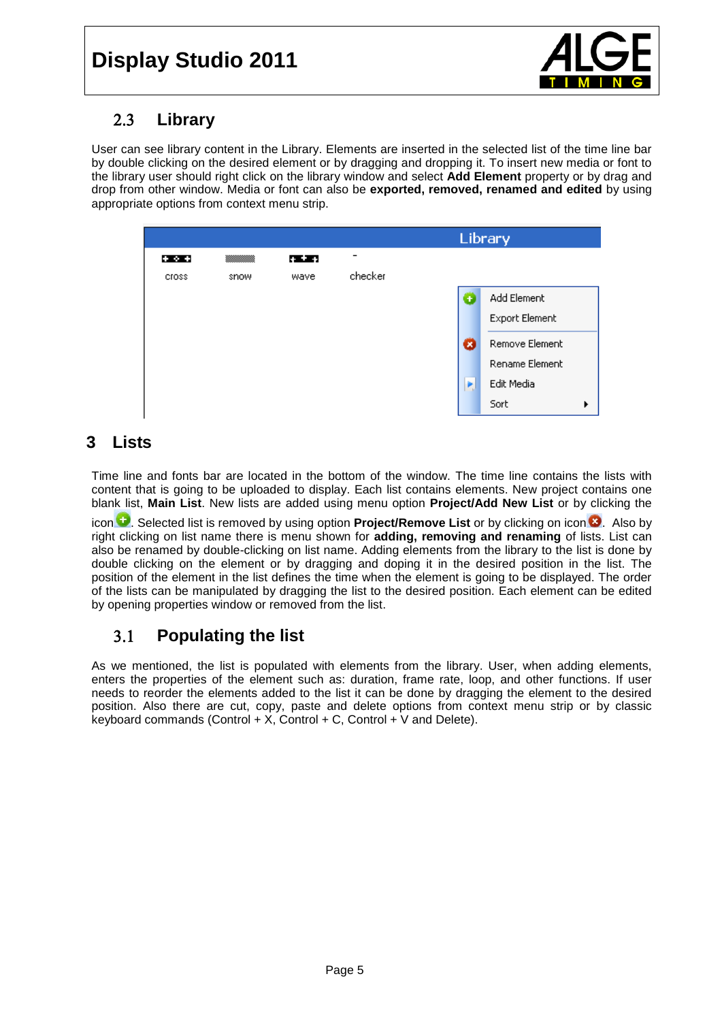

#### 2.3 **Library**

User can see library content in the Library. Elements are inserted in the selected list of the time line bar by double clicking on the desired element or by dragging and dropping it. To insert new media or font to the library user should right click on the library window and select **Add Element** property or by drag and drop from other window. Media or font can also be **exported, removed, renamed and edited** by using appropriate options from context menu strip.



#### **3 Lists**

Time line and fonts bar are located in the bottom of the window. The time line contains the lists with content that is going to be uploaded to display. Each list contains elements. New project contains one blank list, **Main List**. New lists are added using menu option **Project/Add New List** or by clicking the

icon **U**. Selected list is removed by using option **Project/Remove List** or by clicking on icon **X**. Also by right clicking on list name there is menu shown for **adding, removing and renaming** of lists. List can also be renamed by double-clicking on list name. Adding elements from the library to the list is done by double clicking on the element or by dragging and doping it in the desired position in the list. The position of the element in the list defines the time when the element is going to be displayed. The order of the lists can be manipulated by dragging the list to the desired position. Each element can be edited by opening properties window or removed from the list.

#### 3.1 **Populating the list**

As we mentioned, the list is populated with elements from the library. User, when adding elements, enters the properties of the element such as: duration, frame rate, loop, and other functions. If user needs to reorder the elements added to the list it can be done by dragging the element to the desired position. Also there are cut, copy, paste and delete options from context menu strip or by classic keyboard commands (Control  $+ X$ , Control  $+ C$ , Control  $+ V$  and Delete).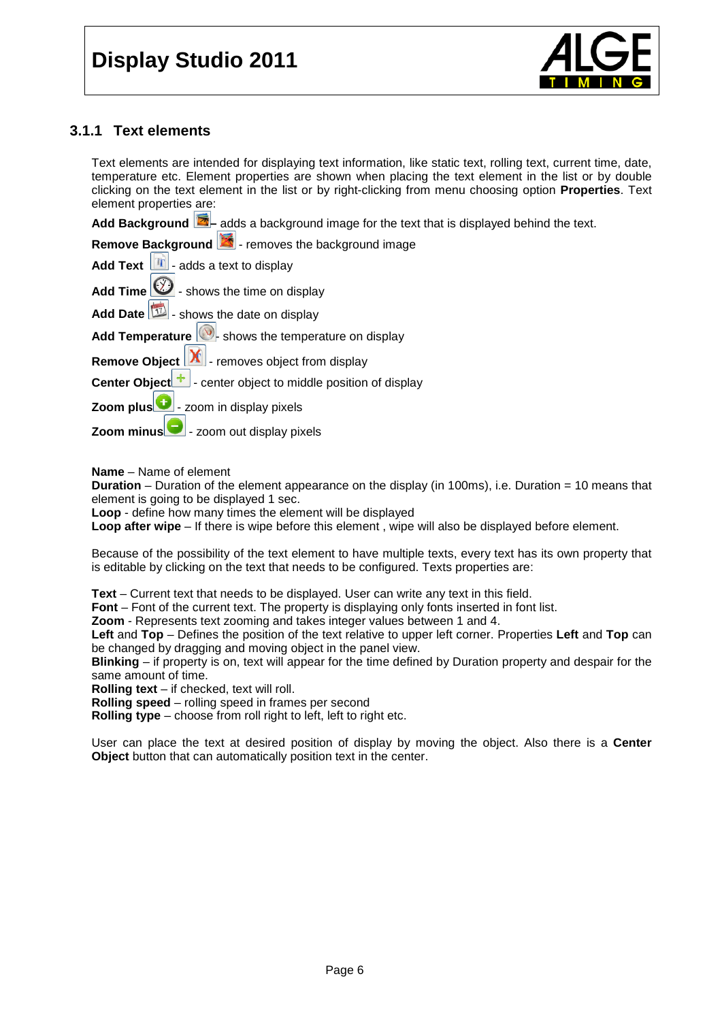

#### **3.1.1 Text elements**

Text elements are intended for displaying text information, like static text, rolling text, current time, date, temperature etc. Element properties are shown when placing the text element in the list or by double clicking on the text element in the list or by right-clicking from menu choosing option **Properties**. Text element properties are:

**Add Background –** adds a background image for the text that is displayed behind the text.

**Remove Background <b>Ex** - removes the background image

**Add Text 1** - adds a text to display

Add Time **1** - shows the time on display

**Add Date**  $\boxed{12}$  - shows the date on display

Add Temperature **4** shows the temperature on display

**Remove Object** |  $X$  - removes object from display

**Center Object**  $\cdot$  - center object to middle position of display

**Zoom plus** - zoom in display pixels

**Zoom minus** - zoom out display pixels

**Name** – Name of element

**Duration** – Duration of the element appearance on the display (in 100ms), i.e. Duration = 10 means that element is going to be displayed 1 sec.

**Loop** - define how many times the element will be displayed

**Loop after wipe** – If there is wipe before this element , wipe will also be displayed before element.

Because of the possibility of the text element to have multiple texts, every text has its own property that is editable by clicking on the text that needs to be configured. Texts properties are:

**Text** – Current text that needs to be displayed. User can write any text in this field.

**Font** – Font of the current text. The property is displaying only fonts inserted in font list.

**Zoom** - Represents text zooming and takes integer values between 1 and 4.

**Left** and **Top** – Defines the position of the text relative to upper left corner. Properties **Left** and **Top** can be changed by dragging and moving object in the panel view.

**Blinking** – if property is on, text will appear for the time defined by Duration property and despair for the same amount of time.

**Rolling text** – if checked, text will roll.

**Rolling speed** – rolling speed in frames per second

**Rolling type** – choose from roll right to left, left to right etc.

User can place the text at desired position of display by moving the object. Also there is a **Center Object** button that can automatically position text in the center.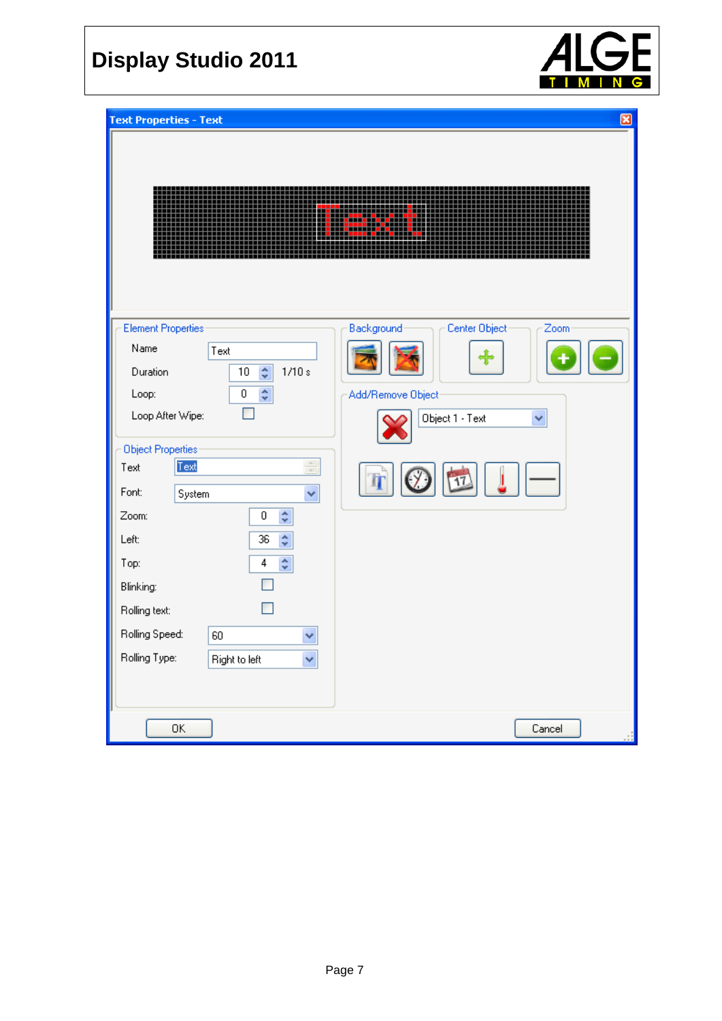

| <b>Text Properties - Text</b>                 | $\boxtimes$                         |
|-----------------------------------------------|-------------------------------------|
|                                               |                                     |
| <b>Element Properties</b>                     | Background<br>Center Object<br>Zoom |
| Name<br>Text                                  |                                     |
| $\hat{\mathbf{v}}$<br>10<br>1/10s<br>Duration |                                     |
| ÷<br>0<br>Loop:                               | Add/Remove Object                   |
| Loop After Wipe:                              | Object 1 - Text                     |
| <b>Object Properties</b>                      |                                     |
| ÷<br>Text<br>Text                             |                                     |
| Font:<br>$\ddotmark$<br>System                |                                     |
| ¢<br>Zoom:<br>0                               |                                     |
| Left:<br>÷<br>36                              |                                     |
| ¢<br>Top:<br>4                                |                                     |
| Blinking:                                     |                                     |
| Rolling text:                                 |                                     |
| Rolling Speed:<br>60                          |                                     |
| Rolling Type:<br>Right to left<br>×           |                                     |
|                                               |                                     |
| OK                                            | Cancel                              |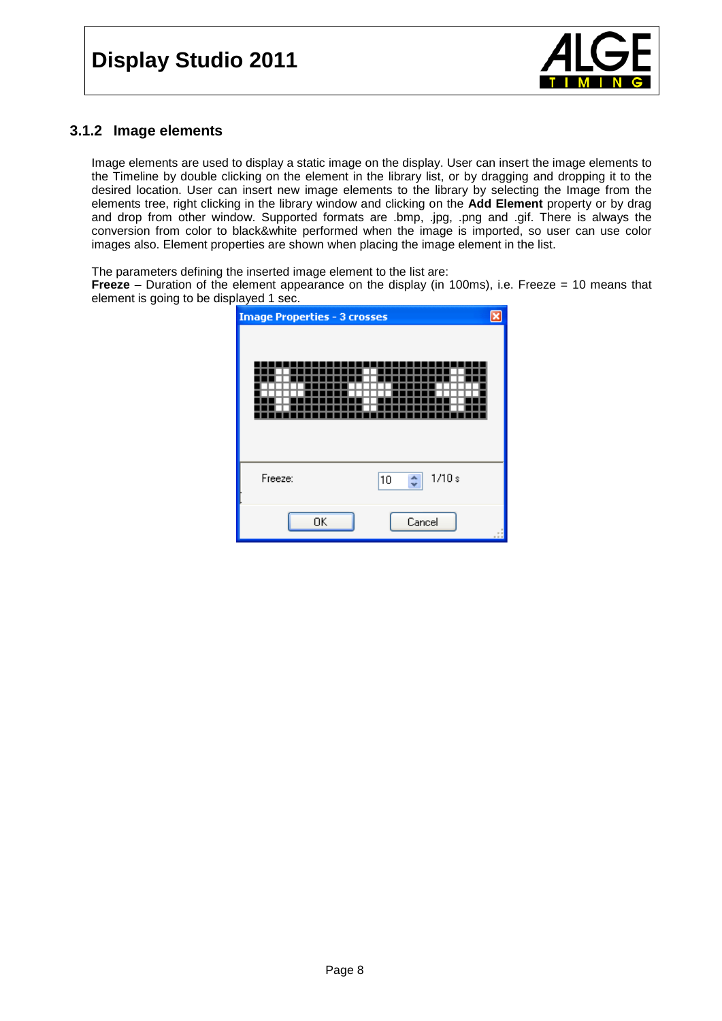

#### **3.1.2 Image elements**

Image elements are used to display a static image on the display. User can insert the image elements to the Timeline by double clicking on the element in the library list, or by dragging and dropping it to the desired location. User can insert new image elements to the library by selecting the Image from the elements tree, right clicking in the library window and clicking on the **Add Element** property or by drag and drop from other window. Supported formats are .bmp, .jpg, .png and .gif. There is always the conversion from color to black&white performed when the image is imported, so user can use color images also. Element properties are shown when placing the image element in the list.

The parameters defining the inserted image element to the list are:

**Freeze** – Duration of the element appearance on the display (in 100ms), i.e. Freeze = 10 means that element is going to be displayed 1 sec.

| <b>Image Properties - 3 crosses</b> |                                 |
|-------------------------------------|---------------------------------|
|                                     |                                 |
| Freeze:                             | 1/10s<br>$ 10\rangle$<br>$\div$ |
| 0K                                  | Cancel                          |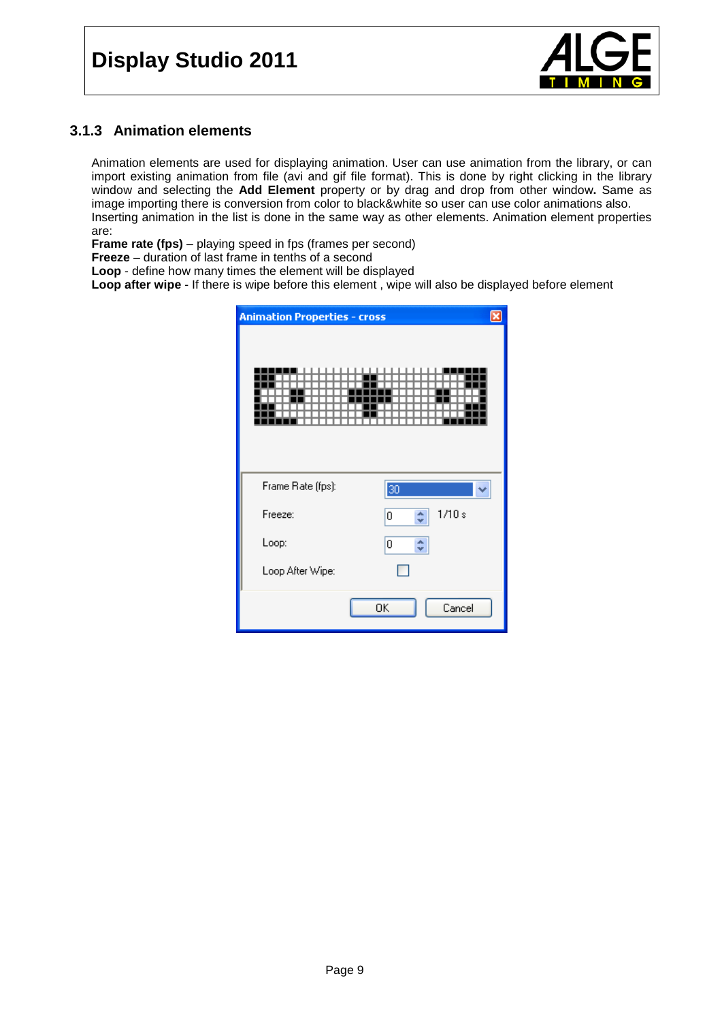

#### **3.1.3 Animation elements**

Animation elements are used for displaying animation. User can use animation from the library, or can import existing animation from file (avi and gif file format). This is done by right clicking in the library window and selecting the **Add Element** property or by drag and drop from other window**.** Same as image importing there is conversion from color to black&white so user can use color animations also. Inserting animation in the list is done in the same way as other elements. Animation element properties are:

**Frame rate (fps)** – playing speed in fps (frames per second)

**Freeze** – duration of last frame in tenths of a second

**Loop** - define how many times the element will be displayed

Loop after wipe - If there is wipe before this element, wipe will also be displayed before element

| <b>Animation Properties - cross</b><br>IХ   |
|---------------------------------------------|
|                                             |
| Frame Rate (fps):<br>30                     |
| 1/10s<br>Freeze:<br>0<br>$\hat{\mathbf{v}}$ |
| Loop:<br>0<br>$\hat{\mathbf{v}}$            |
| Loop After Wipe:                            |
| 0K<br>Cancel                                |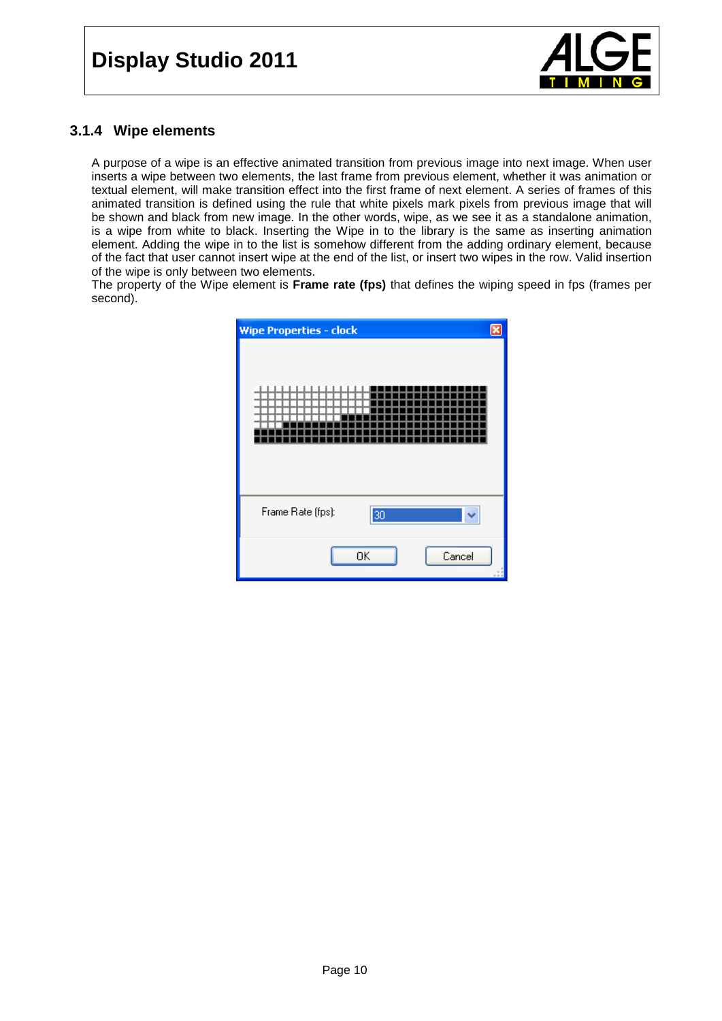

#### **3.1.4 Wipe elements**

A purpose of a wipe is an effective animated transition from previous image into next image. When user inserts a wipe between two elements, the last frame from previous element, whether it was animation or textual element, will make transition effect into the first frame of next element. A series of frames of this animated transition is defined using the rule that white pixels mark pixels from previous image that will be shown and black from new image. In the other words, wipe, as we see it as a standalone animation, is a wipe from white to black. Inserting the Wipe in to the library is the same as inserting animation element. Adding the wipe in to the list is somehow different from the adding ordinary element, because of the fact that user cannot insert wipe at the end of the list, or insert two wipes in the row. Valid insertion of the wipe is only between two elements.

The property of the Wipe element is **Frame rate (fps)** that defines the wiping speed in fps (frames per second).

| <b>Wipe Properties - clock</b> | × |
|--------------------------------|---|
|                                |   |
| Frame Rate (fps):<br>30        |   |
| Cancel<br>OK                   |   |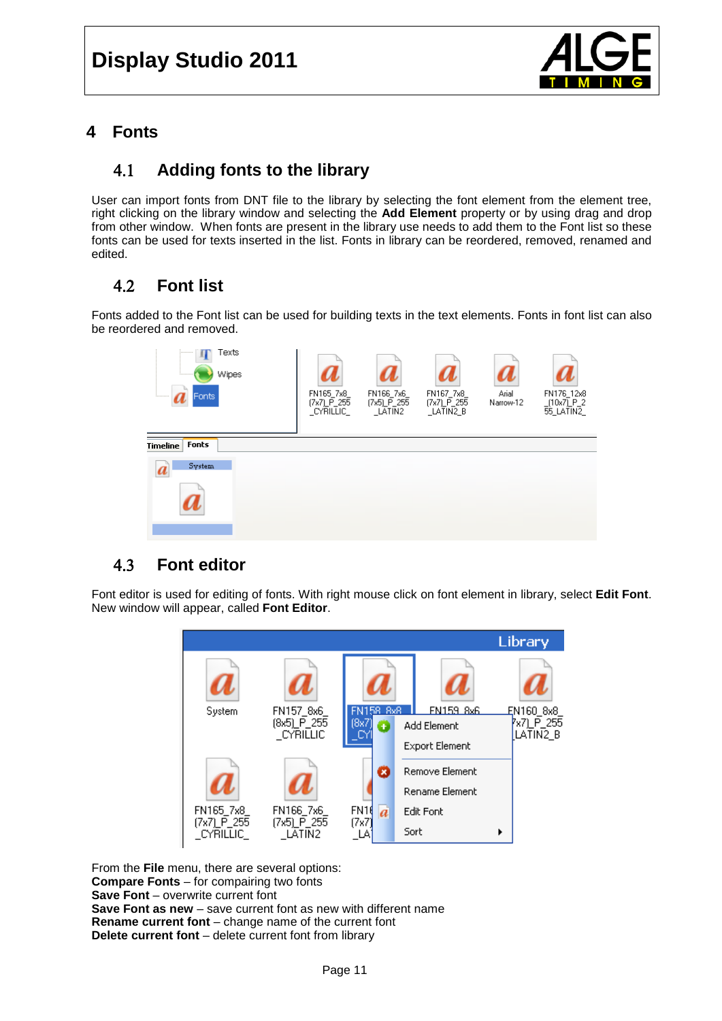

#### **4 Fonts**

#### 4.1 **Adding fonts to the library**

User can import fonts from DNT file to the library by selecting the font element from the element tree, right clicking on the library window and selecting the **Add Element** property or by using drag and drop from other window. When fonts are present in the library use needs to add them to the Font list so these fonts can be used for texts inserted in the list. Fonts in library can be reordered, removed, renamed and edited.

#### 4.2 **Font list**

Fonts added to the Font list can be used for building texts in the text elements. Fonts in font list can also be reordered and removed.

| Texts<br>:<br>Wipes<br>.<br>Fonts<br>: | FN165_7x8_<br>$[7x7]$ $P_255$<br><b>LOYRILLIC</b> | FN166_7x6_<br>$[7x5]$ $\overline{P}$ 255<br>LÄTĪN2 | FN167_7x8_<br>$[7x7]$ $P_255$<br>LATIN2_B | Arial<br>Narrow-12 | FN176_12x8<br>$_{55\_\text{LAT}}$ (10x7) P $_{2}$ |
|----------------------------------------|---------------------------------------------------|----------------------------------------------------|-------------------------------------------|--------------------|---------------------------------------------------|
| <b>Fonts</b><br><b>Timeline</b>        |                                                   |                                                    |                                           |                    |                                                   |
| System                                 |                                                   |                                                    |                                           |                    |                                                   |
|                                        |                                                   |                                                    |                                           |                    |                                                   |

#### 4.3 **Font editor**

Font editor is used for editing of fonts. With right mouse click on font element in library, select **Edit Font**. New window will appear, called **Font Editor**.



From the **File** menu, there are several options: **Compare Fonts** – for compairing two fonts **Save Font** – overwrite current font **Save Font as new** – save current font as new with different name **Rename current font** – change name of the current font **Delete current font** – delete current font from library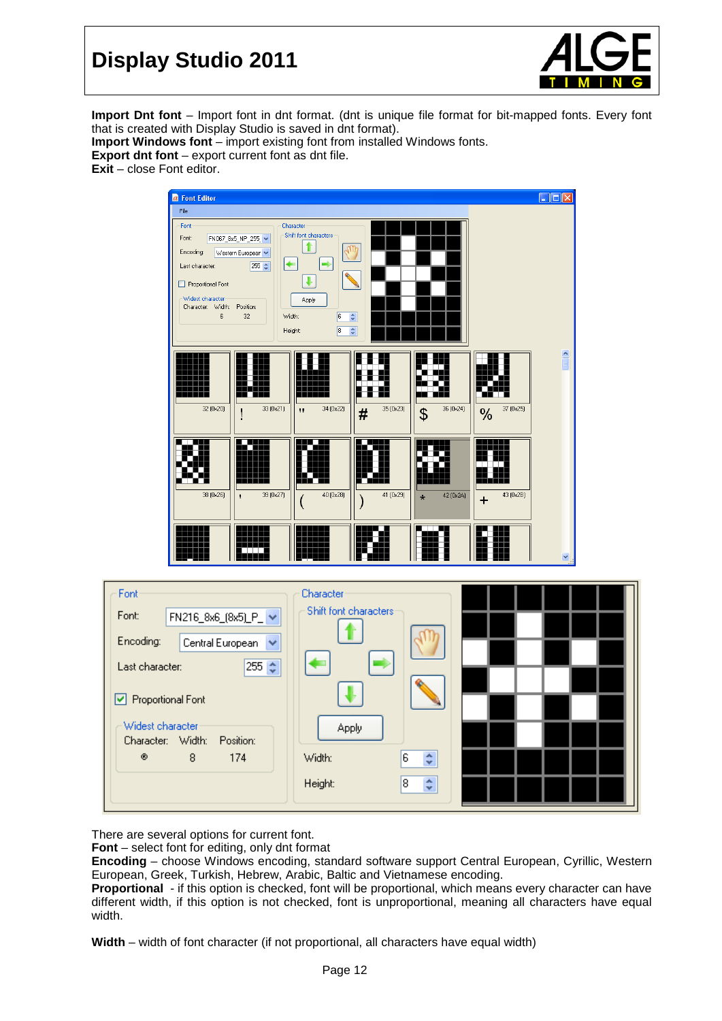

**Import Dnt font** – Import font in dnt format. (dnt is unique file format for bit-mapped fonts. Every font that is created with Display Studio is saved in dnt format).

**Import Windows font** – import existing font from installed Windows fonts.

**Export dnt font** – export current font as dnt file.

**Exit** – close Font editor.

| <b>a</b> Font Editor                                                                                                                                                                                                                                                                             |                                                                                                                                      | $\Box$ D $\boxtimes$               |
|--------------------------------------------------------------------------------------------------------------------------------------------------------------------------------------------------------------------------------------------------------------------------------------------------|--------------------------------------------------------------------------------------------------------------------------------------|------------------------------------|
| File<br>Font<br>Character<br>Font:<br>FN067_8x5_NP_255_<br>Encoding:<br>Western European<br>$\left  \bullet \right $<br>$255 \div$<br>Last character:<br>Proportional Font<br>Widest character<br>Character: Width: Position:<br>$\mathsf{6}^{\scriptscriptstyle{+}}$<br>32<br>Width:<br>Height: | Shift font characters<br>↟<br>$\overline{\mathbb{C}}$<br>➡<br>$\ddot{\phantom{0}}$<br>Apply<br>$\sqrt{6}$<br>$\div$<br> 8 <br>$\div$ |                                    |
| 32 (0x20)<br>33 (0x21)                                                                                                                                                                                                                                                                           | т<br>34 (0x22)<br>35 (0x23)<br>36 (0x24)<br>$\mathbf{H}$<br>#<br>\$                                                                  | $\blacktriangle$<br>37 (0x25)<br>% |
| 38 (0x26)<br>39 (0x27)<br>$\blacksquare$                                                                                                                                                                                                                                                         | 40 (0x28)<br>41 (0x29)<br>42 (0x2A)<br>$\star$                                                                                       | 43 (0x2B)<br>$\ddot{}$             |
| Font<br>Font:<br>FN216_8x6_(8x5)_P_                                                                                                                                                                                                                                                              | Character<br>Shift font characters                                                                                                   | v                                  |
| Encoding:<br>Central European<br>255 ↔<br>Last character:                                                                                                                                                                                                                                        |                                                                                                                                      |                                    |
| Proportional Font<br>Widest character<br>Position:<br>Character: Width:<br>$_{\tiny{\odot}}$<br>8<br>174                                                                                                                                                                                         | Apply<br>Width:<br>6<br>÷                                                                                                            |                                    |
|                                                                                                                                                                                                                                                                                                  | Height:<br>8<br>÷                                                                                                                    |                                    |

There are several options for current font.

**Font** *–* select font for editing, only dnt format

**Encoding** *–* choose Windows encoding, standard software support Central European, Cyrillic, Western European, Greek, Turkish, Hebrew, Arabic, Baltic and Vietnamese encoding.

**Proportional** - if this option is checked, font will be proportional, which means every character can have different width, if this option is not checked, font is unproportional, meaning all characters have equal width.

**Width** – width of font character (if not proportional, all characters have equal width)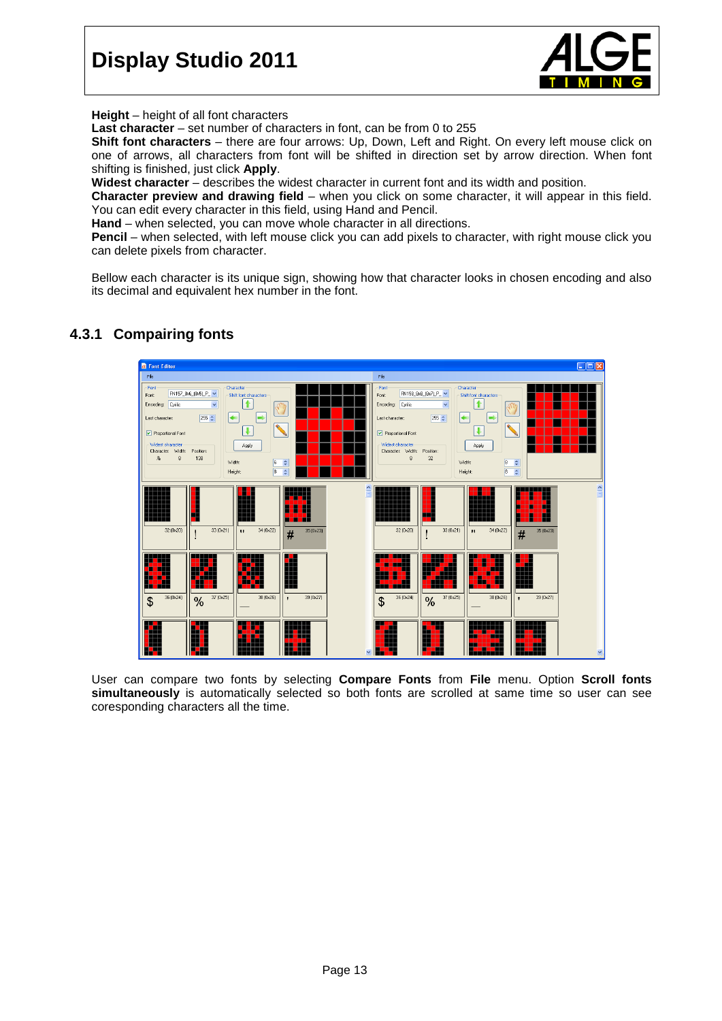

**Height** *–* height of all font characters

**Last character** *–* set number of characters in font, can be from 0 to 255

**Shift font characters** *–* there are four arrows: Up, Down, Left and Right. On every left mouse click on one of arrows, all characters from font will be shifted in direction set by arrow direction. When font shifting is finished, just click **Apply**.

**Widest character** *–* describes the widest character in current font and its width and position.

**Character preview and drawing field** *–* when you click on some character, it will appear in this field. You can edit every character in this field, using Hand and Pencil.

**Hand** *–* when selected, you can move whole character in all directions.

**Pencil** *–* when selected, with left mouse click you can add pixels to character, with right mouse click you can delete pixels from character.

Bellow each character is its unique sign, showing how that character looks in chosen encoding and also its decimal and equivalent hex number in the font.

#### **4.3.1 Compairing fonts**



User can compare two fonts by selecting **Compare Fonts** from **File** menu. Option **Scroll fonts simultaneously** is automatically selected so both fonts are scrolled at same time so user can see coresponding characters all the time.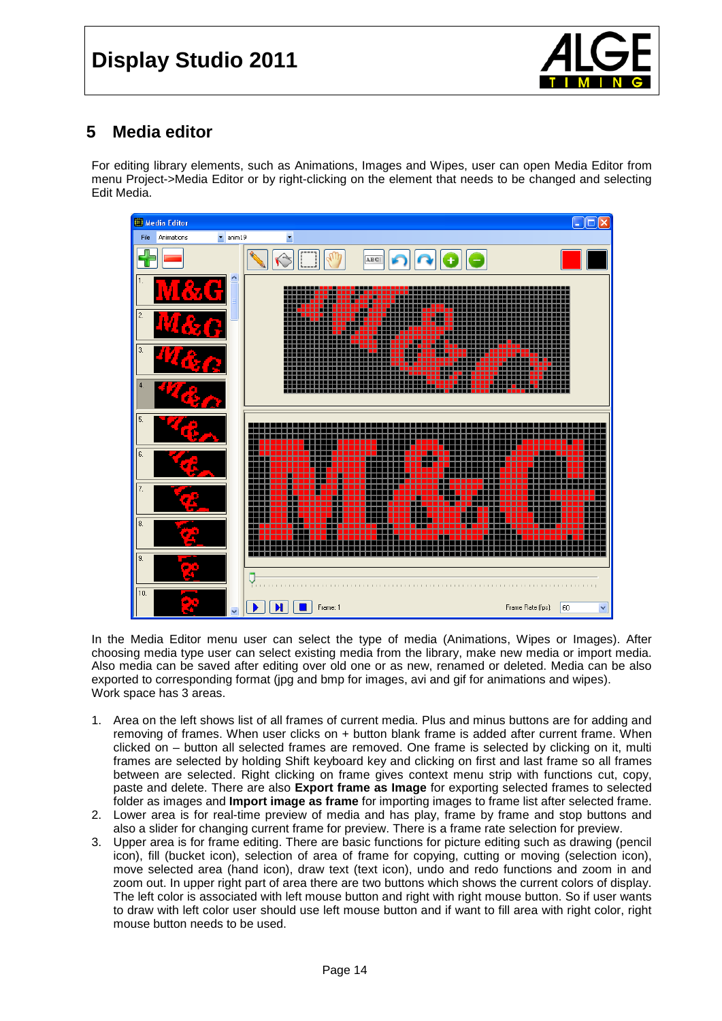

#### **5 Media editor**

For editing library elements, such as Animations, Images and Wipes, user can open Media Editor from menu Project->Media Editor or by right-clicking on the element that needs to be changed and selecting Edit Media.



In the Media Editor menu user can select the type of media (Animations, Wipes or Images). After choosing media type user can select existing media from the library, make new media or import media. Also media can be saved after editing over old one or as new, renamed or deleted. Media can be also exported to corresponding format (jpg and bmp for images, avi and gif for animations and wipes). Work space has 3 areas.

- 1. Area on the left shows list of all frames of current media. Plus and minus buttons are for adding and removing of frames. When user clicks on + button blank frame is added after current frame. When clicked on – button all selected frames are removed. One frame is selected by clicking on it, multi frames are selected by holding Shift keyboard key and clicking on first and last frame so all frames between are selected. Right clicking on frame gives context menu strip with functions cut, copy, paste and delete. There are also **Export frame as Image** for exporting selected frames to selected folder as images and **Import image as frame** for importing images to frame list after selected frame.
- 2. Lower area is for real-time preview of media and has play, frame by frame and stop buttons and also a slider for changing current frame for preview. There is a frame rate selection for preview.
- 3. Upper area is for frame editing. There are basic functions for picture editing such as drawing (pencil icon), fill (bucket icon), selection of area of frame for copying, cutting or moving (selection icon), move selected area (hand icon), draw text (text icon), undo and redo functions and zoom in and zoom out. In upper right part of area there are two buttons which shows the current colors of display. The left color is associated with left mouse button and right with right mouse button. So if user wants to draw with left color user should use left mouse button and if want to fill area with right color, right mouse button needs to be used.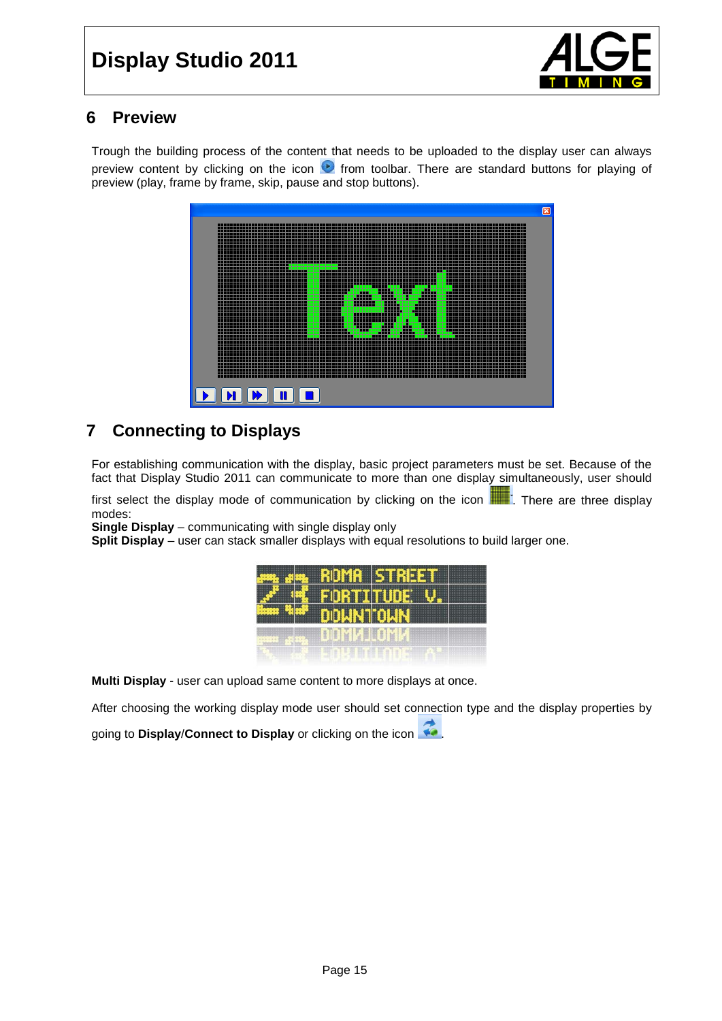

#### **6 Preview**

Trough the building process of the content that needs to be uploaded to the display user can always preview content by clicking on the icon  $\bullet$  from toolbar. There are standard buttons for playing of preview (play, frame by frame, skip, pause and stop buttons).



#### <span id="page-14-0"></span>**7 Connecting to Displays**

For establishing communication with the display, basic project parameters must be set. Because of the fact that Display Studio 2011 can communicate to more than one display simultaneously, user should

first select the display mode of communication by clicking on the icon  $\blacksquare$ . There are three display modes:

**Single Display** – communicating with single display only

**Split Display** – user can stack smaller displays with equal resolutions to build larger one.

|  |           |                 | <br>----<br>$-20.00$<br><br>--<br><br>$-0.00$                |
|--|-----------|-----------------|--------------------------------------------------------------|
|  |           | $-20.00$        | ---<br>--<br>. .                                             |
|  | 0.0.0.0.0 | 44441<br>$\sim$ | <b><i>SEREER</i></b><br><br><b>D.D.D.D</b><br><b>COLLEGE</b> |
|  |           |                 |                                                              |
|  |           |                 |                                                              |

**Multi Display** - user can upload same content to more displays at once.

After choosing the working display mode user should set connection type and the display properties by

going to **Display**/**Connect to Display** or clicking on the icon .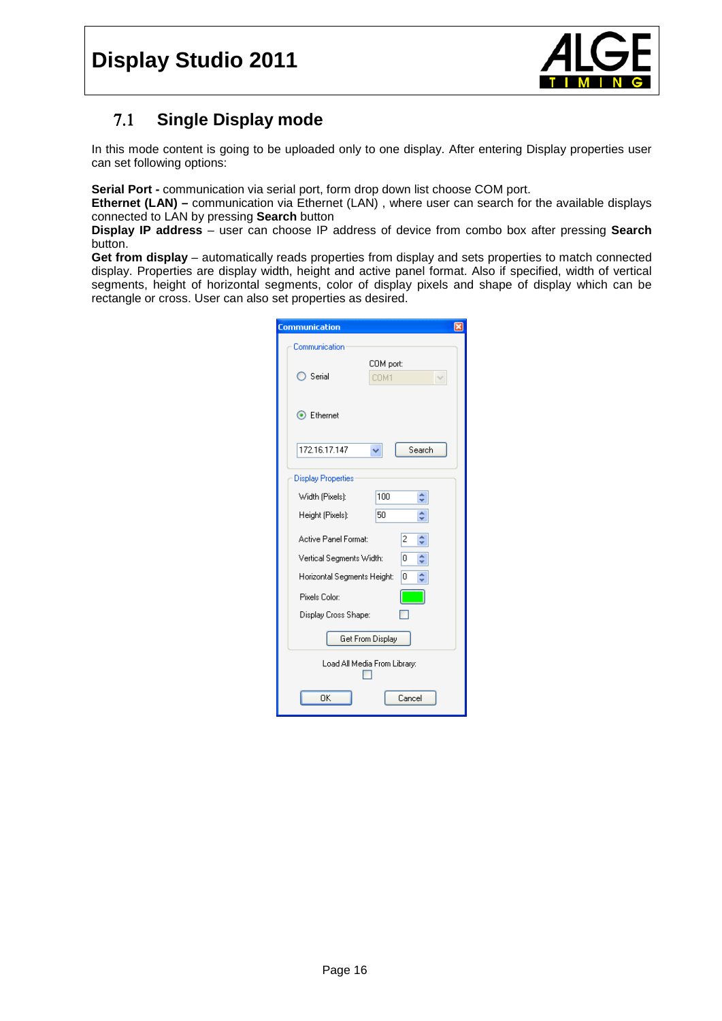

#### 7.1 **Single Display mode**

In this mode content is going to be uploaded only to one display. After entering Display properties user can set following options:

**Serial Port -** communication via serial port, form drop down list choose COM port.

**Ethernet (LAN) –** communication via Ethernet (LAN) , where user can search for the available displays connected to LAN by pressing **Search** button

**Display IP address** – user can choose IP address of device from combo box after pressing **Search** button.

**Get from display** – automatically reads properties from display and sets properties to match connected display. Properties are display width, height and active panel format. Also if specified, width of vertical segments, height of horizontal segments, color of display pixels and shape of display which can be rectangle or cross. User can also set properties as desired.

| <b>Communication</b>                  |
|---------------------------------------|
| Communication                         |
| COM port:                             |
| $\bigcirc$ Serial<br>20M1             |
|                                       |
| ⊙ Ethernet                            |
| 172.16.17.147<br>Search               |
| <b>Display Properties</b>             |
| 100<br>Width (Pixels):                |
| 50<br>Height (Pixels):                |
| 2<br>Active Panel Format:             |
| Vertical Segments Width:<br>0         |
| 0<br>Horizontal Segments Height:<br>٥ |
| Pixels Color:                         |
| Display Cross Shape:                  |
| Get From Display                      |
| Load All Media From Library:          |
| 0K<br>Cancel                          |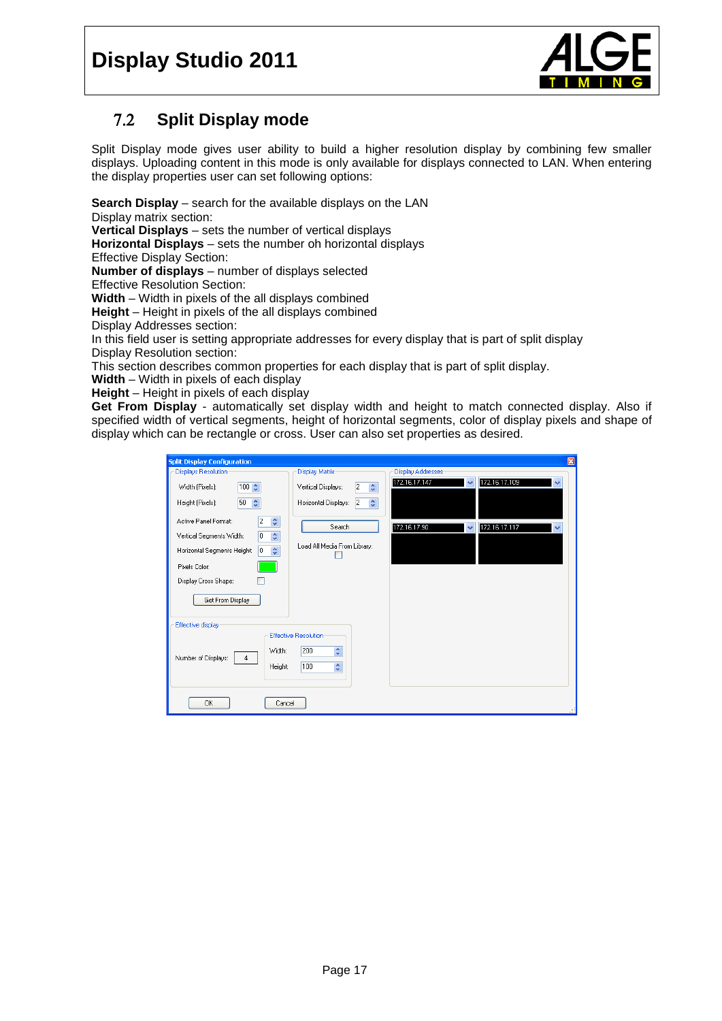

#### 7.2 **Split Display mode**

Split Display mode gives user ability to build a higher resolution display by combining few smaller displays. Uploading content in this mode is only available for displays connected to LAN. When entering the display properties user can set following options:

**Search Display** – search for the available displays on the LAN Display matrix section: **Vertical Displays** – sets the number of vertical displays **Horizontal Displays** – sets the number oh horizontal displays Effective Display Section: **Number of displays** – number of displays selected Effective Resolution Section: **Width** – Width in pixels of the all displays combined **Height** – Height in pixels of the all displays combined Display Addresses section:

In this field user is setting appropriate addresses for every display that is part of split display Display Resolution section:

This section describes common properties for each display that is part of split display.

**Width** – Width in pixels of each display

**Height** – Height in pixels of each display

**Get From Display** - automatically set display width and height to match connected display. Also if specified width of vertical segments, height of horizontal segments, color of display pixels and shape of display which can be rectangle or cross. User can also set properties as desired.

| <b>Split Display Configuration</b>              | $\boxtimes$                                                                                    |
|-------------------------------------------------|------------------------------------------------------------------------------------------------|
| Displays Resolution:                            | Display Matrix:<br><b>Display Addresses</b>                                                    |
| 100 승<br>Width (Pixels):                        | 172.16.17.147<br>172.16.17.109<br>$\checkmark$<br>$\checkmark$<br>2<br>÷<br>Vertical Displays: |
| 50<br>÷<br>Height (Pixels):                     | ÷<br>2<br>Horizontal Displays:                                                                 |
| 2<br>÷<br>Active Panel Format:                  | Search<br>172.16.17.90<br>172.16.17.117<br>×<br>$\checkmark$                                   |
| ÷<br>lo.<br>Vertical Segments Width:            |                                                                                                |
| ÷<br>lo.<br>Horizontal Segments Height:         | Load All Media From Library:                                                                   |
| Pixels Color:                                   |                                                                                                |
| Display Cross Shape:                            |                                                                                                |
| Get From Display                                |                                                                                                |
| <b>Effective display</b>                        |                                                                                                |
|                                                 | <b>Effective Resolution</b>                                                                    |
| Width:<br>Number of Displays:<br>$\overline{4}$ | $\div$<br>200                                                                                  |
| Height:                                         | $\hat{\mathbf{v}}$<br>100                                                                      |
| 0K<br>Cancel                                    | m                                                                                              |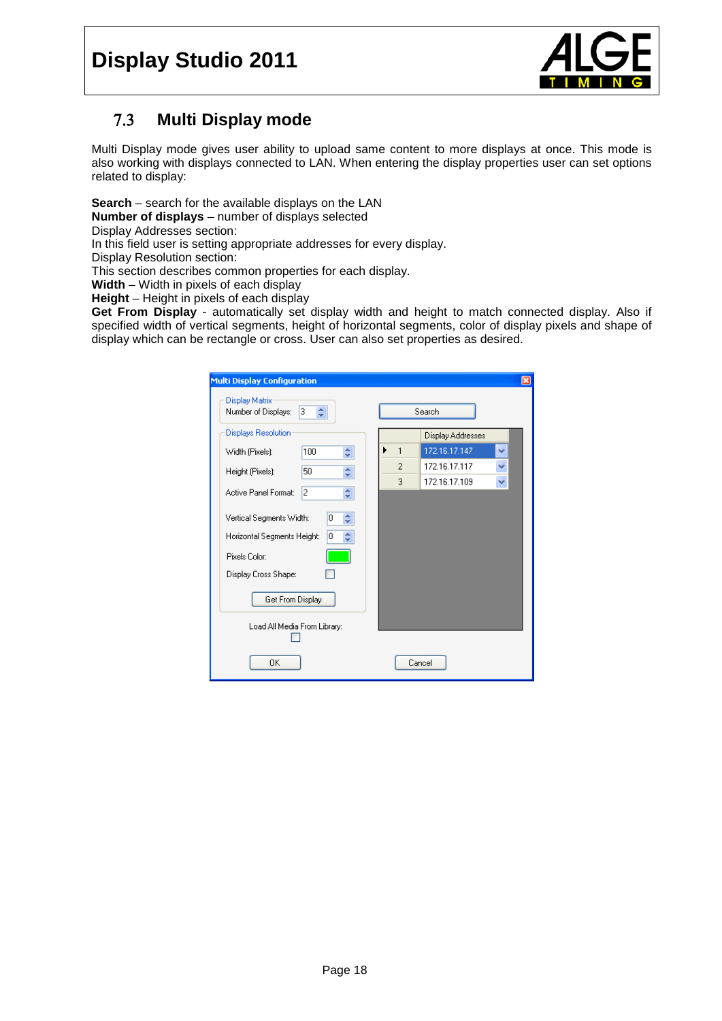

#### 7.3 **Multi Display mode**

Multi Display mode gives user ability to upload same content to more displays at once. This mode is also working with displays connected to LAN. When entering the display properties user can set options related to display:

**Search** – search for the available displays on the LAN

**Number of displays** – number of displays selected

Display Addresses section:

In this field user is setting appropriate addresses for every display.

Display Resolution section:

This section describes common properties for each display.

**Width** – Width in pixels of each display

**Height** – Height in pixels of each display

**Get From Display** - automatically set display width and height to match connected display. Also if specified width of vertical segments, height of horizontal segments, color of display pixels and shape of display which can be rectangle or cross. User can also set properties as desired.

| <b>Multi Display Configuration</b>     |        |   |                |                   |   | ⊠ |
|----------------------------------------|--------|---|----------------|-------------------|---|---|
| Display Matrix:<br>Number of Displays: | 3<br>¢ |   |                | Search            |   |   |
| Displays Resolution:                   |        |   |                | Display Addresses |   |   |
| Width (Pixels):                        | 100    | ¢ | 1              | 172.16.17.147     | v |   |
| Height (Pixels):                       | 50     | ¢ | $\overline{c}$ | 172.16.17.117     |   |   |
|                                        |        |   | 3              | 172.16.17.109     | v |   |
| Active Panel Format:                   | 2      | ¢ |                |                   |   |   |
| Vertical Segments Width:               | 0      | ÷ |                |                   |   |   |
| Horizontal Segments Height:            | 0      | ٥ |                |                   |   |   |
| Pixels Color:                          |        |   |                |                   |   |   |
| Display Cross Shape:                   |        |   |                |                   |   |   |
| Get From Display                       |        |   |                |                   |   |   |
| Load All Media From Library:           |        |   |                |                   |   |   |
| OΚ                                     |        |   |                | Cancel            |   |   |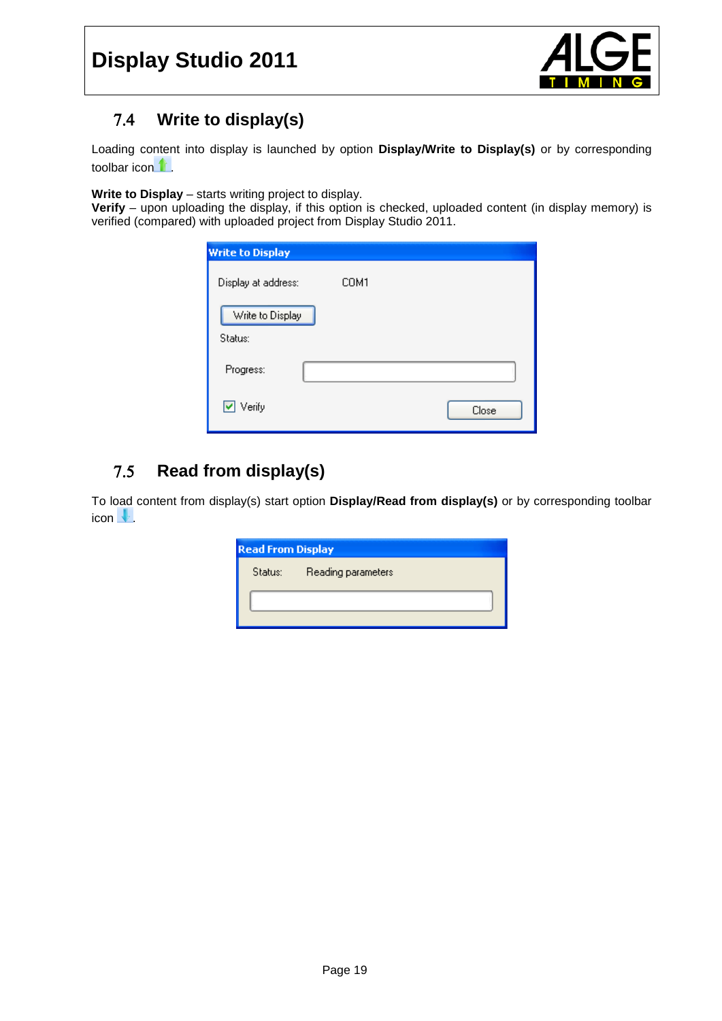

#### 7.4 **Write to display(s)**

Loading content into display is launched by option **Display/Write to Display(s)** or by corresponding toolbar icon 1.

**Write to Display** – starts writing project to display.

**Verify** – upon uploading the display, if this option is checked, uploaded content (in display memory) is verified (compared) with uploaded project from Display Studio 2011.

| <b>Write to Display</b>     |       |
|-----------------------------|-------|
| Display at address:<br>COM1 |       |
| Write to Display            |       |
| Status:                     |       |
| Progress:                   |       |
| Verify                      | Close |

#### 7.5 **Read from display(s)**

To load content from display(s) start option **Display/Read from display(s)** or by corresponding toolbar  $\mathsf{icon} \blacktriangleright$ .

| <b>Read From Display</b> |                    |
|--------------------------|--------------------|
| Status:                  | Reading parameters |
|                          |                    |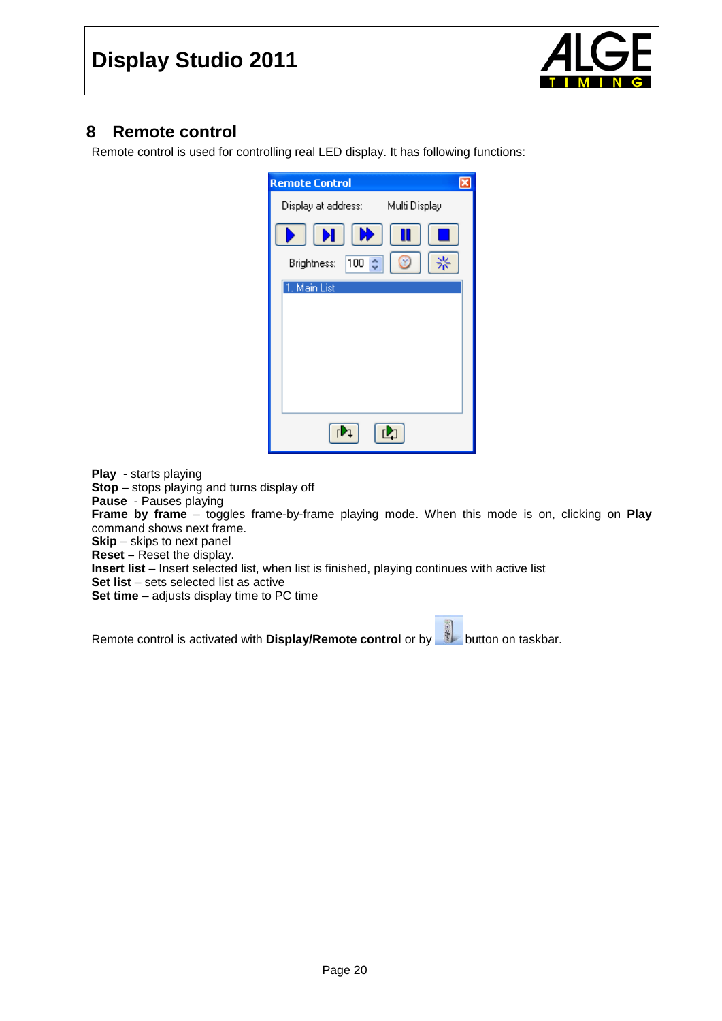

#### **8 Remote control**

Remote control is used for controlling real LED display. It has following functions:

| <b>Remote Control</b>                |
|--------------------------------------|
| Multi Display<br>Display at address: |
| $\mathbf{H}$ $\mathbf{W}$            |
| ٥Ì<br>100<br>Brightness:             |
| 1. Main List                         |
|                                      |
|                                      |
|                                      |
|                                      |
|                                      |
|                                      |
|                                      |

**Play** - starts playing **Stop** – stops playing and turns display off **Pause** - Pauses playing **Frame by frame** – toggles frame-by-frame playing mode. When this mode is on, clicking on **Play** command shows next frame. **Skip** – skips to next panel **Reset –** Reset the display. **Insert list** – Insert selected list, when list is finished, playing continues with active list **Set list** – sets selected list as active **Set time** – adjusts display time to PC time

Remote control is activated with **Display/Remote control** or by **button on taskbar.**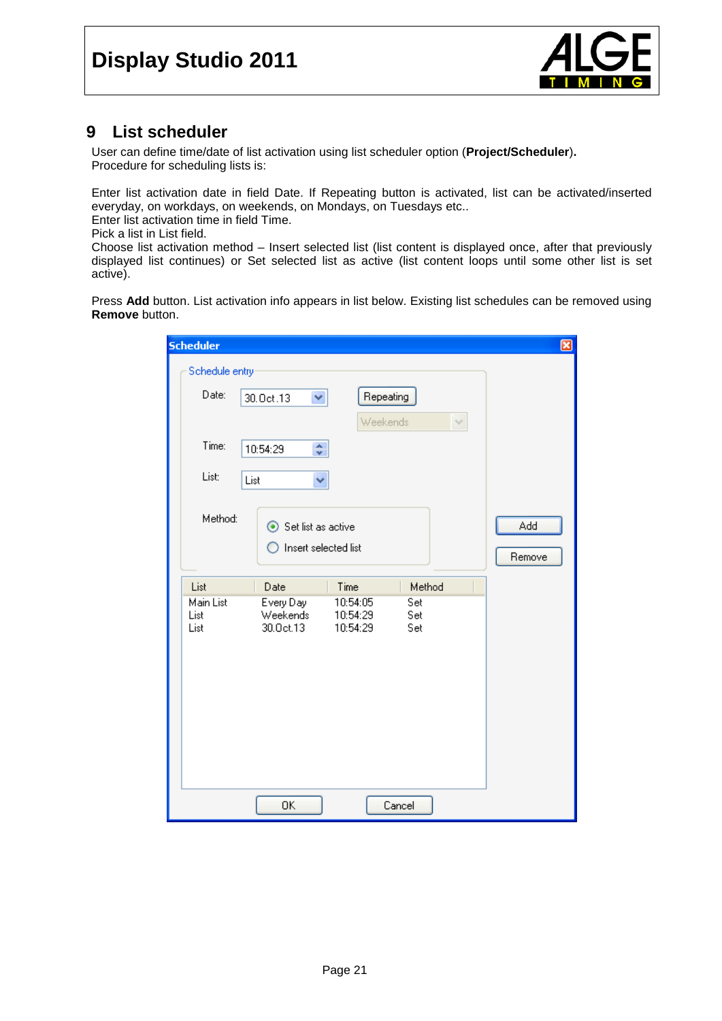

#### **9 List scheduler**

User can define time/date of list activation using list scheduler option (**Project/Scheduler**)**.** Procedure for scheduling lists is:

Enter list activation date in field Date. If Repeating button is activated, list can be activated/inserted everyday, on workdays, on weekends, on Mondays, on Tuesdays etc..

Enter list activation time in field Time.

Pick a list in List field.

Choose list activation method – Insert selected list (list content is displayed once, after that previously displayed list continues) or Set selected list as active (list content loops until some other list is set active).

Press **Add** button. List activation info appears in list below. Existing list schedules can be removed using **Remove** button.

| <b>Scheduler</b>  |                       |                                    |        | $\boxed{\mathbf{z}}$ |
|-------------------|-----------------------|------------------------------------|--------|----------------------|
| Schedule entry    |                       |                                    |        |                      |
| Date:             | 30.0ct.13<br>v        | Repeating                          |        |                      |
|                   |                       | Weekends                           | $\vee$ |                      |
| Time:             | ÷<br>10:54:29         |                                    |        |                      |
| List:             | List<br>٧             |                                    |        |                      |
|                   |                       |                                    |        |                      |
| Method:           | Set list as active    |                                    |        | Add                  |
|                   | Insert selected list  |                                    |        | Remove               |
|                   |                       |                                    |        |                      |
| List              | Date                  | Time                               | Method |                      |
| Main List<br>List | Every Day<br>Weekends | 10:54:05<br>Set<br>10:54:29<br>Set |        |                      |
| List              | 30.0ct.13             | Set<br>10:54:29                    |        |                      |
|                   |                       |                                    |        |                      |
|                   |                       |                                    |        |                      |
|                   |                       |                                    |        |                      |
|                   |                       |                                    |        |                      |
|                   |                       |                                    |        |                      |
|                   |                       |                                    |        |                      |
|                   |                       |                                    |        |                      |
|                   |                       |                                    |        |                      |
|                   |                       |                                    |        |                      |
|                   | ΟK                    | Cancel                             |        |                      |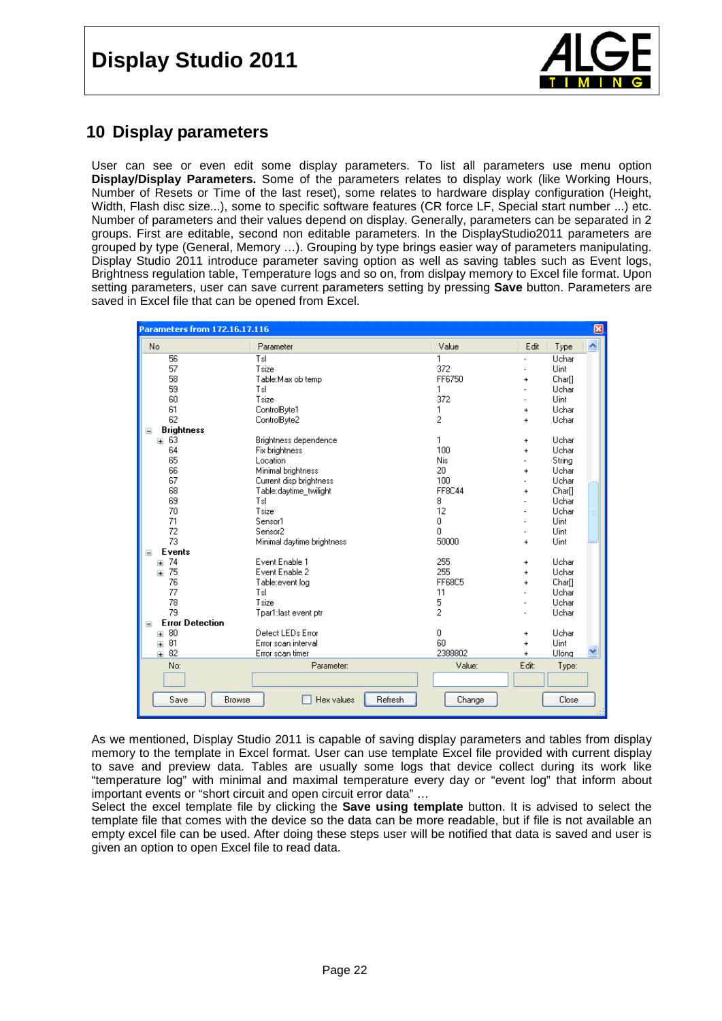

#### **10 Display parameters**

User can see or even edit some display parameters. To list all parameters use menu option **Display/Display Parameters.** Some of the parameters relates to display work (like Working Hours, Number of Resets or Time of the last reset), some relates to hardware display configuration (Height, Width, Flash disc size...), some to specific software features (CR force LF, Special start number ...) etc. Number of parameters and their values depend on display. Generally, parameters can be separated in 2 groups. First are editable, second non editable parameters. In the DisplayStudio2011 parameters are grouped by type (General, Memory …). Grouping by type brings easier way of parameters manipulating. Display Studio 2011 introduce parameter saving option as well as saving tables such as Event logs, Brightness regulation table, Temperature logs and so on, from dislpay memory to Excel file format. Upon setting parameters, user can save current parameters setting by pressing **Save** button. Parameters are saved in Excel file that can be opened from Excel.

| <b>Parameters from 172.16.17.116</b> |                            |                |           |        | $\boxtimes$      |
|--------------------------------------|----------------------------|----------------|-----------|--------|------------------|
| No.                                  | Parameter                  | Value          | Edit      | Type   | $\blacktriangle$ |
| 56                                   | TsI                        | 1              |           | Uchar  |                  |
| 57                                   | Tsize                      | 372            |           | Uint   |                  |
| 58                                   | Table: Max ob temp         | FF6750         | $\ddot{}$ | Charl1 |                  |
| 59                                   | TsI                        | 1              |           | Uchar  |                  |
| 60                                   | Tsize                      | 372            |           | Uint   |                  |
| 61                                   | ControlByte1               | 1              | $\ddot{}$ | Uchar  |                  |
| 62                                   | ControlByte2               | 2              | $\ddot{}$ | Uchar  |                  |
| <b>Brightness</b><br>Ξ               |                            |                |           |        |                  |
| 63<br>Đ                              | Brightness dependence      | 1              | $\ddot{}$ | Uchar  |                  |
| 64                                   | Fix brightness             | 100            | $\ddot{}$ | Uchar  |                  |
| 65                                   | Location                   | <b>Nis</b>     |           | String |                  |
| 66                                   | Minimal brightness         | 20             | $\ddot{}$ | Uchar  |                  |
| 67                                   | Current disp brightness    | 100            |           | Uchar  |                  |
| 68                                   | Table:daytime_twilight     | <b>FF8C44</b>  | $\ddot{}$ | Charl] |                  |
| 69                                   | TsI                        | 8              |           | Uchar  |                  |
| 70                                   | Tsize                      | 12             |           | Uchar  |                  |
| 71                                   | Sensor1                    | 0              |           | Uint   |                  |
| 72                                   | Sensor <sub>2</sub>        | 0              |           | Uint   |                  |
| 73                                   | Minimal daytime brightness | 50000          | $\ddot{}$ | Uint   |                  |
| Events                               |                            |                |           |        |                  |
| 74<br>$\pm$                          | Event Enable 1             | 255            | $\ddot{}$ | Uchar  |                  |
| 75<br>Đ                              | Event Enable 2             | 255            | $\ddot{}$ | Uchar  |                  |
| 76                                   | Table: event log           | <b>FF68C5</b>  | $\ddot{}$ | Charl  |                  |
| 77                                   | TsI                        | 11             |           | Uchar  |                  |
| 78                                   | Tsize                      | 5              |           | Uchar  |                  |
| 79                                   | Tpar1:last event ptr       | $\overline{c}$ |           | Uchar  |                  |
| <b>Error Detection</b><br>⊟          |                            |                |           |        |                  |
| 80<br>Đ                              | Detect LEDs Error          | 0              | $\ddot{}$ | Uchar  |                  |
| 81<br>Đ                              | Error scan interval        | 60             | $\ddot{}$ | Uint   |                  |
| $\pm 82$                             | Error scan timer           | 2388802        | $\ddot{}$ | Ulong  |                  |
| No:                                  | Parameter:                 | Value:         | Edit:     | Type:  |                  |
|                                      |                            |                |           |        |                  |
|                                      |                            |                |           |        |                  |
| Save<br>Browse                       | Refresh<br>Hex values      | Change         |           | Close  |                  |
|                                      |                            |                |           |        |                  |

As we mentioned, Display Studio 2011 is capable of saving display parameters and tables from display memory to the template in Excel format. User can use template Excel file provided with current display to save and preview data. Tables are usually some logs that device collect during its work like "temperature log" with minimal and maximal temperature every day or "event log" that inform about important events or "short circuit and open circuit error data" …

Select the excel template file by clicking the **Save using template** button. It is advised to select the template file that comes with the device so the data can be more readable, but if file is not available an empty excel file can be used. After doing these steps user will be notified that data is saved and user is given an option to open Excel file to read data.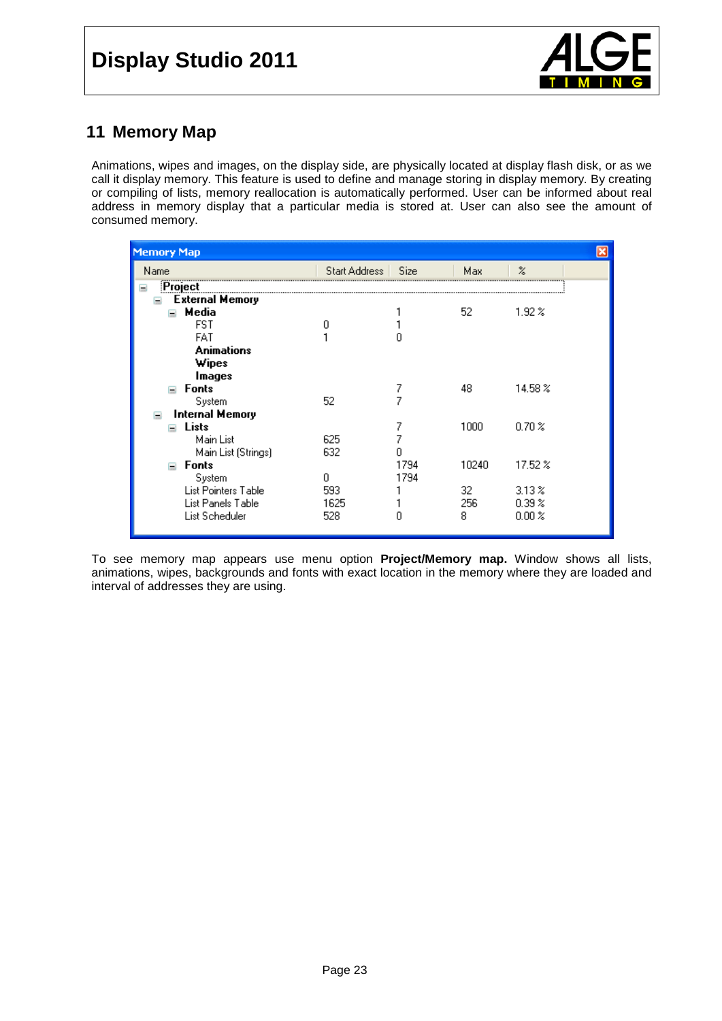

#### **11 Memory Map**

Animations, wipes and images, on the display side, are physically located at display flash disk, or as we call it display memory. This feature is used to define and manage storing in display memory. By creating or compiling of lists, memory reallocation is automatically performed. User can be informed about real address in memory display that a particular media is stored at. User can also see the amount of consumed memory.

| <b>Memory Map</b>           |               |             |       |                           | Iх |
|-----------------------------|---------------|-------------|-------|---------------------------|----|
| Name                        | Start Address | <b>Size</b> | Max   | $\boldsymbol{\mathsf{z}}$ |    |
| Project<br>Ξ                |               |             |       |                           |    |
| <b>External Memory</b>      |               |             |       |                           |    |
| Media<br>⊟                  |               |             | 52    | $1.92\%$                  |    |
| <b>FST</b>                  | 0             |             |       |                           |    |
| <b>FAT</b>                  |               | n           |       |                           |    |
| <b>Animations</b>           |               |             |       |                           |    |
| Wipes                       |               |             |       |                           |    |
| Images                      |               |             |       |                           |    |
| <b>Fonts</b>                |               |             | 48    | 14.58 %                   |    |
| System                      | 52            |             |       |                           |    |
| <b>Internal Memory</b><br>н |               |             |       |                           |    |
| <b>Lists</b>                |               |             | 1000  | $0.70 \times$             |    |
| Main List                   | 625           |             |       |                           |    |
| Main List (Strings)         | 632           | ۵           |       |                           |    |
| <b>Fonts</b>                |               | 1794        | 10240 | 17.52 %                   |    |
| System                      | ۵             | 1794        |       |                           |    |
| <b>List Pointers Table</b>  | 593           |             | 32    | $3.13\%$                  |    |
| List Panels Table           | 1625          |             | 256   | 0.39 X                    |    |
| <b>List Scheduler</b>       | 528           | Ο           | 8     | $0.00 \times$             |    |
|                             |               |             |       |                           |    |

To see memory map appears use menu option **Project/Memory map.** Window shows all lists, animations, wipes, backgrounds and fonts with exact location in the memory where they are loaded and interval of addresses they are using.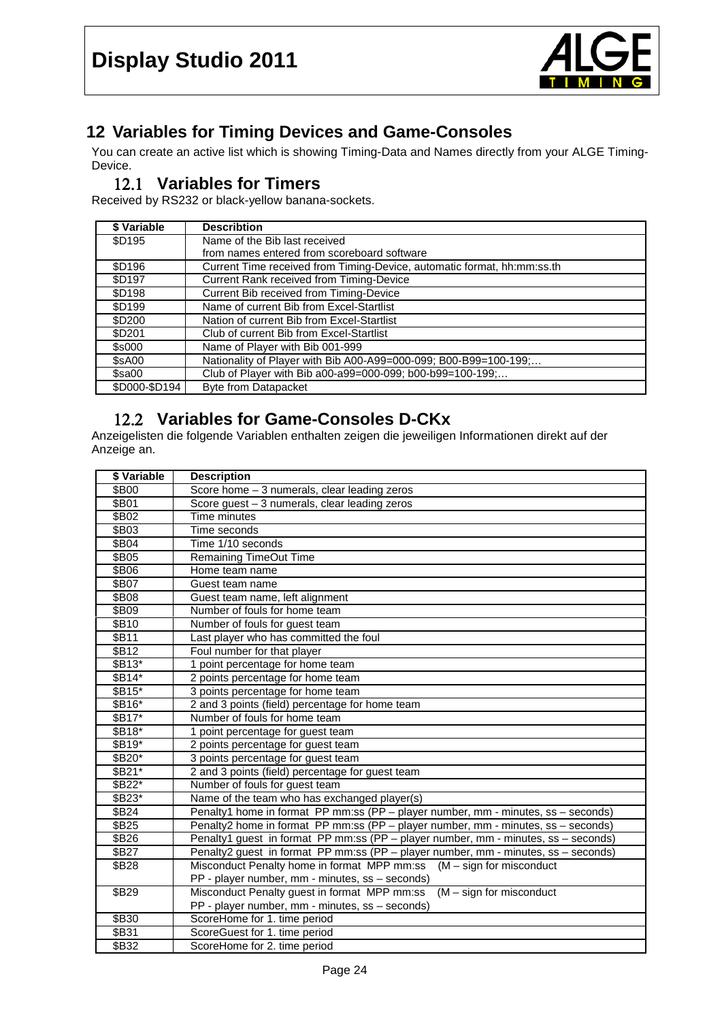

#### **12 Variables for Timing Devices and Game-Consoles**

You can create an active list which is showing Timing-Data and Names directly from your ALGE Timing-Device.

#### 12.1 **Variables for Timers**

Received by RS232 or black-yellow banana-sockets.

| \$ Variable        | <b>Describtion</b>                                                      |
|--------------------|-------------------------------------------------------------------------|
| \$D195             | Name of the Bib last received                                           |
|                    | from names entered from scoreboard software                             |
| \$D196             | Current Time received from Timing-Device, automatic format, hh:mm:ss.th |
| \$D197             | Current Rank received from Timing-Device                                |
| \$D198             | Current Bib received from Timing-Device                                 |
| \$D199             | Name of current Bib from Excel-Startlist                                |
| \$D <sub>200</sub> | Nation of current Bib from Excel-Startlist                              |
| \$D201             | Club of current Bib from Excel-Startlist                                |
| \$s000             | Name of Player with Bib 001-999                                         |
| \$sA00             | Nationality of Player with Bib A00-A99=000-099; B00-B99=100-199;        |
| \$sa00             | Club of Player with Bib a00-a99=000-099; b00-b99=100-199;               |
| \$D000-\$D194      | <b>Byte from Datapacket</b>                                             |

#### 12.2 **Variables for Game-Consoles D-CKx**

Anzeigelisten die folgende Variablen enthalten zeigen die jeweiligen Informationen direkt auf der Anzeige an.

| \$ Variable  | <b>Description</b>                                                                 |
|--------------|------------------------------------------------------------------------------------|
| \$B00        | Score home - 3 numerals, clear leading zeros                                       |
| \$B01        | Score guest - 3 numerals, clear leading zeros                                      |
| <b>\$B02</b> | Time minutes                                                                       |
| \$B03        | Time seconds                                                                       |
| \$B04        | Time 1/10 seconds                                                                  |
| \$B05        | <b>Remaining TimeOut Time</b>                                                      |
| \$B06        | Home team name                                                                     |
| \$B07        | Guest team name                                                                    |
| \$B08        | Guest team name, left alignment                                                    |
| \$B09        | Number of fouls for home team                                                      |
| \$B10        | Number of fouls for guest team                                                     |
| \$B11        | Last player who has committed the foul                                             |
| \$B12        | Foul number for that player                                                        |
| \$B13*       | 1 point percentage for home team                                                   |
| \$B14*       | 2 points percentage for home team                                                  |
| \$B15*       | 3 points percentage for home team                                                  |
| \$B16*       | 2 and 3 points (field) percentage for home team                                    |
| $$B17$ *     | Number of fouls for home team                                                      |
| \$B18*       | 1 point percentage for guest team                                                  |
| \$B19*       | 2 points percentage for guest team                                                 |
| \$B20*       | 3 points percentage for guest team                                                 |
| \$B21*       | 2 and 3 points (field) percentage for guest team                                   |
| \$B22*       | Number of fouls for guest team                                                     |
| \$B23*       | Name of the team who has exchanged player(s)                                       |
| \$B24        | Penalty1 home in format PP mm:ss (PP - player number, mm - minutes, ss - seconds)  |
| \$B25        | Penalty2 home in format PP mm:ss (PP - player number, mm - minutes, ss - seconds)  |
| \$B26        | Penalty1 guest in format PP mm:ss (PP - player number, mm - minutes, ss - seconds) |
| \$B27        | Penalty2 guest in format PP mm:ss (PP - player number, mm - minutes, ss - seconds) |
| \$B28        | Misconduct Penalty home in format MPP mm:ss (M - sign for misconduct               |
|              | PP - player number, mm - minutes, ss - seconds)                                    |
| \$B29        | Misconduct Penalty guest in format MPP mm:ss<br>$(M - sign for misconduct)$        |
|              | PP - player number, mm - minutes, ss - seconds)                                    |
| \$B30        | ScoreHome for 1. time period                                                       |
| \$B31        | ScoreGuest for 1. time period                                                      |
| \$B32        | ScoreHome for 2. time period                                                       |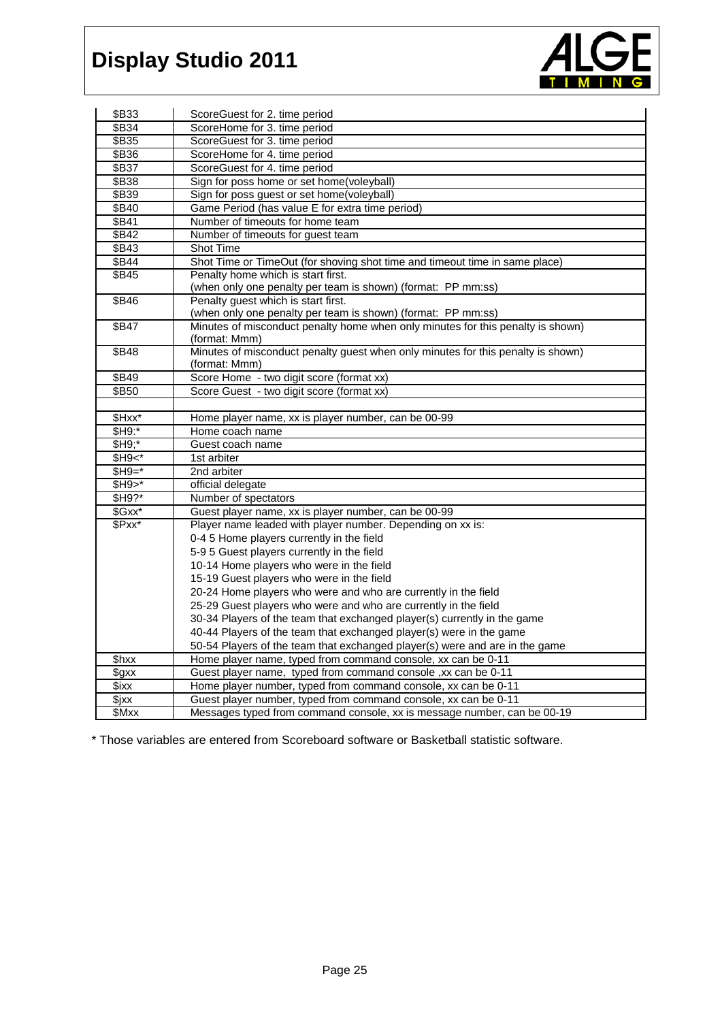

| \$B33              | ScoreGuest for 2. time period                                                    |
|--------------------|----------------------------------------------------------------------------------|
| \$B34              | ScoreHome for 3. time period                                                     |
| <b>\$B35</b>       | ScoreGuest for 3. time period                                                    |
| \$B36              | ScoreHome for 4. time period                                                     |
| \$B37              | ScoreGuest for 4. time period                                                    |
| \$B38              | Sign for poss home or set home(voleyball)                                        |
| \$B39              | Sign for poss guest or set home(voleyball)                                       |
| \$B40              | Game Period (has value E for extra time period)                                  |
| \$B41              | Number of timeouts for home team                                                 |
| \$B42              | Number of timeouts for guest team                                                |
| <b>\$B43</b>       | <b>Shot Time</b>                                                                 |
| \$B44              | Shot Time or TimeOut (for shoving shot time and timeout time in same place)      |
| <b>\$B45</b>       | Penalty home which is start first.                                               |
|                    | (when only one penalty per team is shown) (format: PP mm:ss)                     |
| <b>\$B46</b>       | Penalty guest which is start first.                                              |
|                    | (when only one penalty per team is shown) (format: PP mm:ss)                     |
| <b>\$B47</b>       | Minutes of misconduct penalty home when only minutes for this penalty is shown)  |
|                    | (format: Mmm)                                                                    |
| <b>\$B48</b>       | Minutes of misconduct penalty guest when only minutes for this penalty is shown) |
| \$B49              | (format: Mmm)<br>Score Home - two digit score (format xx)                        |
| \$B50              | Score Guest - two digit score (format xx)                                        |
|                    |                                                                                  |
| \$Hxx*             | Home player name, xx is player number, can be 00-99                              |
| $$H9$ :*           | Home coach name                                                                  |
| $$H9.*$            | Guest coach name                                                                 |
| $$H9*$             | 1st arbiter                                                                      |
| $$H9=$ *           | 2nd arbiter                                                                      |
| $$H9>{*}$          | official delegate                                                                |
| \$H9?              | Number of spectators                                                             |
| \$Gxx*             | Guest player name, xx is player number, can be 00-99                             |
| $SPxx^*$           | Player name leaded with player number. Depending on xx is:                       |
|                    | 0-4 5 Home players currently in the field                                        |
|                    | 5-9 5 Guest players currently in the field                                       |
|                    | 10-14 Home players who were in the field                                         |
|                    | 15-19 Guest players who were in the field                                        |
|                    | 20-24 Home players who were and who are currently in the field                   |
|                    | 25-29 Guest players who were and who are currently in the field                  |
|                    | 30-34 Players of the team that exchanged player(s) currently in the game         |
|                    | 40-44 Players of the team that exchanged player(s) were in the game              |
|                    | 50-54 Players of the team that exchanged player(s) were and are in the game      |
| <b>Shxx</b>        | Home player name, typed from command console, xx can be 0-11                     |
| \$gxx              | Guest player name, typed from command console, xx can be 0-11                    |
| \$ixx              | Home player number, typed from command console, xx can be 0-11                   |
| $\overline{\$jxx}$ | Guest player number, typed from command console, xx can be 0-11                  |
| \$Mxx              | Messages typed from command console, xx is message number, can be 00-19          |

\* Those variables are entered from Scoreboard software or Basketball statistic software.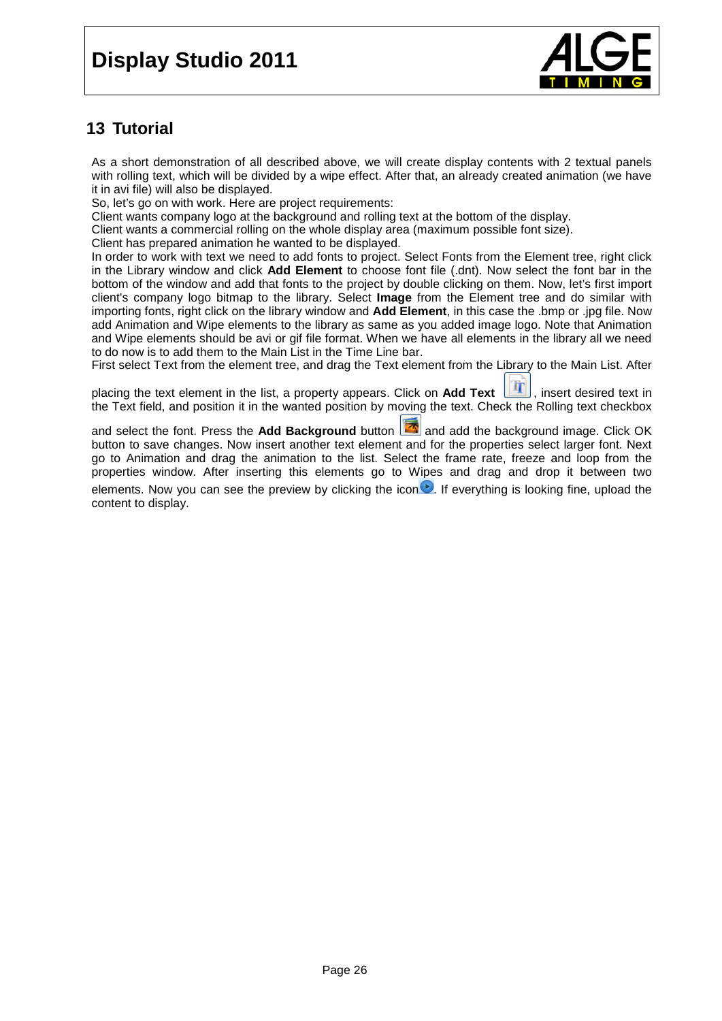

#### **13 Tutorial**

As a short demonstration of all described above, we will create display contents with 2 textual panels with rolling text, which will be divided by a wipe effect. After that, an already created animation (we have it in avi file) will also be displayed.

So, let's go on with work. Here are project requirements:

Client wants company logo at the background and rolling text at the bottom of the display.

Client wants a commercial rolling on the whole display area (maximum possible font size).

Client has prepared animation he wanted to be displayed.

In order to work with text we need to add fonts to project. Select Fonts from the Element tree, right click in the Library window and click **Add Element** to choose font file (.dnt). Now select the font bar in the bottom of the window and add that fonts to the project by double clicking on them. Now, let's first import client's company logo bitmap to the library. Select **Image** from the Element tree and do similar with importing fonts, right click on the library window and **Add Element**, in this case the .bmp or .jpg file. Now add Animation and Wipe elements to the library as same as you added image logo. Note that Animation and Wipe elements should be avi or gif file format. When we have all elements in the library all we need to do now is to add them to the Main List in the Time Line bar.

First select Text from the element tree, and drag the Text element from the Library to the Main List. After

placing the text element in the list, a property appears. Click on **Add Text T**, insert desired text in the Text field, and position it in the wanted position by moving the text. Check the Rolling text checkbox

and select the font. Press the Add Background button **and add the background image. Click OK** button to save changes. Now insert another text element and for the properties select larger font. Next go to Animation and drag the animation to the list. Select the frame rate, freeze and loop from the properties window. After inserting this elements go to Wipes and drag and drop it between two elements. Now you can see the preview by clicking the icon  $\bullet$ . If everything is looking fine, upload the content to display.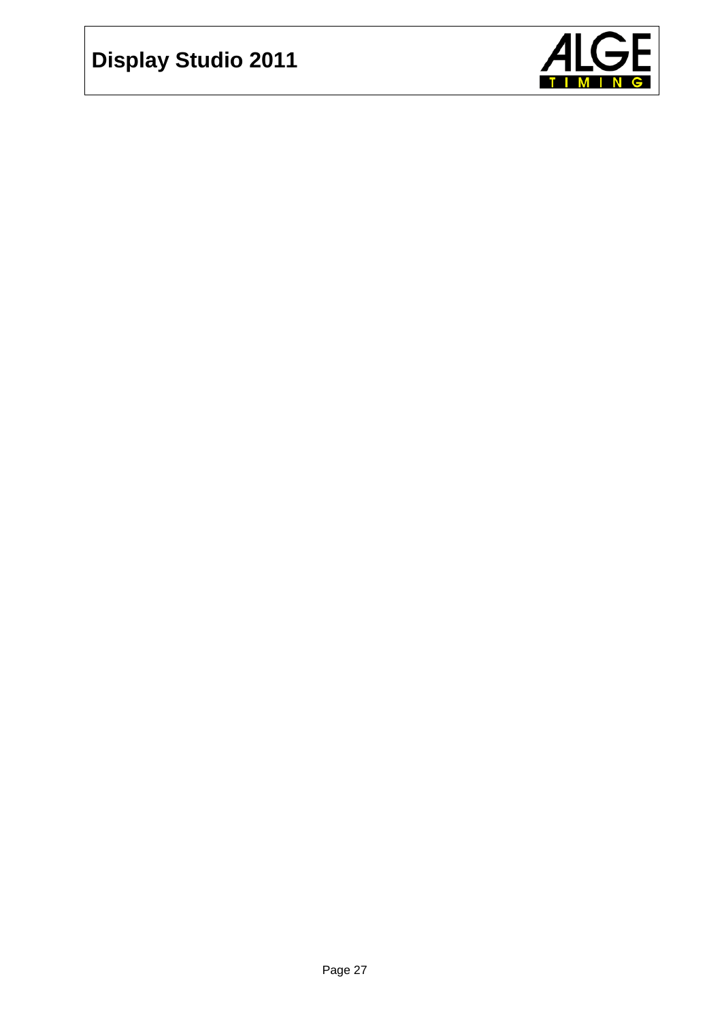